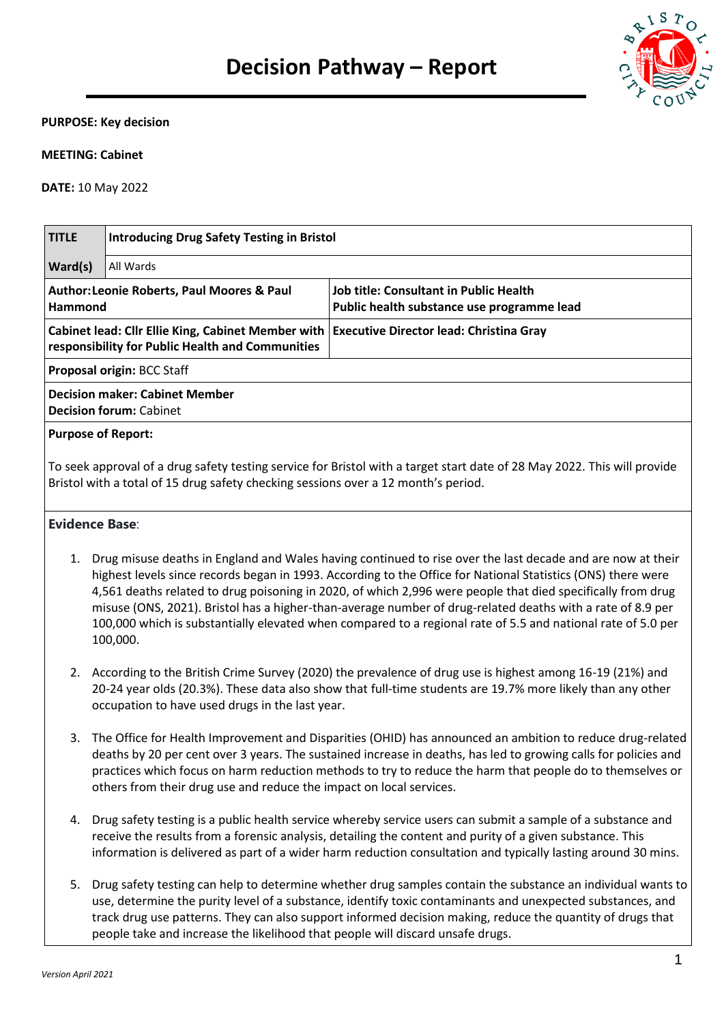

#### **PURPOSE: Key decision**

#### **MEETING: Cabinet**

**DATE:** 10 May 2022

| <b>TITLE</b>                                                                                                                                                                                                   | <b>Introducing Drug Safety Testing in Bristol</b>                                                                                              |                                                                                                            |  |  |  |  |
|----------------------------------------------------------------------------------------------------------------------------------------------------------------------------------------------------------------|------------------------------------------------------------------------------------------------------------------------------------------------|------------------------------------------------------------------------------------------------------------|--|--|--|--|
| Ward(s)                                                                                                                                                                                                        | All Wards                                                                                                                                      |                                                                                                            |  |  |  |  |
| <b>Author: Leonie Roberts, Paul Moores &amp; Paul</b><br>Hammond                                                                                                                                               |                                                                                                                                                | <b>Job title: Consultant in Public Health</b><br>Public health substance use programme lead                |  |  |  |  |
|                                                                                                                                                                                                                | Cabinet lead: Cllr Ellie King, Cabinet Member with Executive Director lead: Christina Gray<br>responsibility for Public Health and Communities |                                                                                                            |  |  |  |  |
|                                                                                                                                                                                                                | Proposal origin: BCC Staff                                                                                                                     |                                                                                                            |  |  |  |  |
| <b>Decision maker: Cabinet Member</b><br><b>Decision forum: Cabinet</b>                                                                                                                                        |                                                                                                                                                |                                                                                                            |  |  |  |  |
| <b>Purpose of Report:</b>                                                                                                                                                                                      |                                                                                                                                                |                                                                                                            |  |  |  |  |
| To seek approval of a drug safety testing service for Bristol with a target start date of 28 May 2022. This will provide<br>Bristol with a total of 15 drug safety checking sessions over a 12 month's period. |                                                                                                                                                |                                                                                                            |  |  |  |  |
| <b>Evidence Base:</b>                                                                                                                                                                                          |                                                                                                                                                |                                                                                                            |  |  |  |  |
| 1.                                                                                                                                                                                                             |                                                                                                                                                | Drug misuse deaths in England and Wales having continued to rise over the last decade and are now at their |  |  |  |  |

- highest levels since records began in 1993. According to the Office for National Statistics (ONS) there were 4,561 deaths related to drug poisoning in 2020, of which 2,996 were people that died specifically from drug misuse (ONS, 2021). Bristol has a higher-than-average number of drug-related deaths with a rate of 8.9 per 100,000 which is substantially elevated when compared to a regional rate of 5.5 and national rate of 5.0 per 100,000.
- 2. According to the British Crime Survey (2020) the prevalence of drug use is highest among 16-19 (21%) and 20-24 year olds (20.3%). These data also show that full-time students are 19.7% more likely than any other occupation to have used drugs in the last year.
- 3. The Office for Health Improvement and Disparities (OHID) has announced an ambition to reduce drug-related deaths by 20 per cent over 3 years. The sustained increase in deaths, has led to growing calls for policies and practices which focus on harm reduction methods to try to reduce the harm that people do to themselves or others from their drug use and reduce the impact on local services.
- 4. Drug safety testing is a public health service whereby service users can submit a sample of a substance and receive the results from a forensic analysis, detailing the content and purity of a given substance. This information is delivered as part of a wider harm reduction consultation and typically lasting around 30 mins.
- 5. Drug safety testing can help to determine whether drug samples contain the substance an individual wants to use, determine the purity level of a substance, identify toxic contaminants and unexpected substances, and track drug use patterns. They can also support informed decision making, reduce the quantity of drugs that people take and increase the likelihood that people will discard unsafe drugs.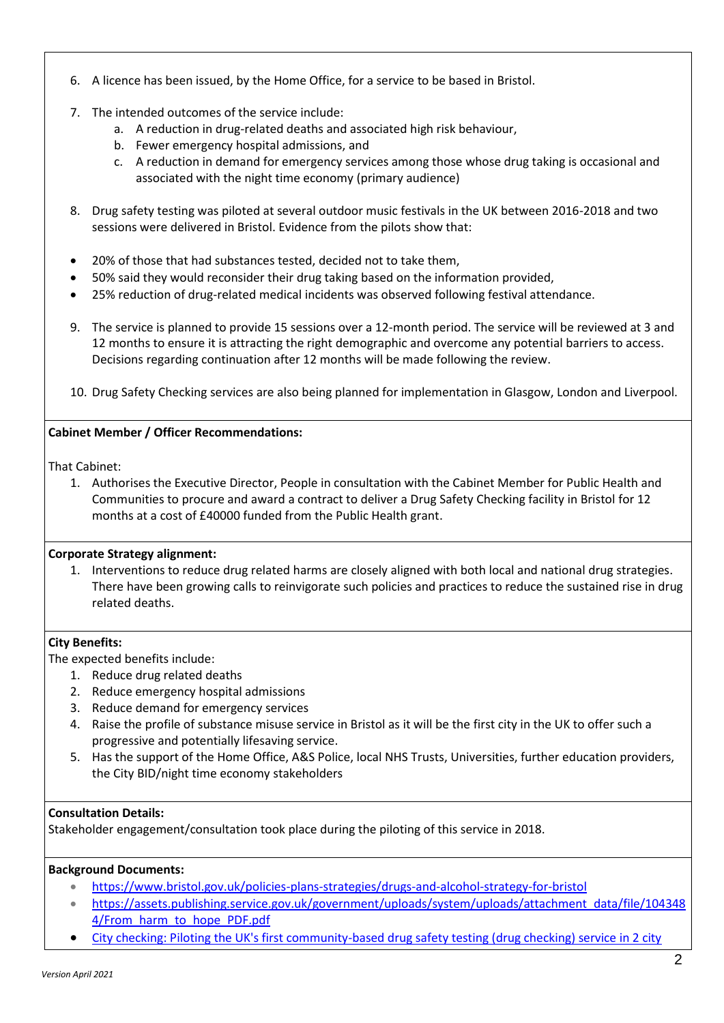- 6. A licence has been issued, by the Home Office, for a service to be based in Bristol.
- 7. The intended outcomes of the service include:
	- a. A reduction in drug-related deaths and associated high risk behaviour,
	- b. Fewer emergency hospital admissions, and
	- c. A reduction in demand for emergency services among those whose drug taking is occasional and associated with the night time economy (primary audience)
- 8. Drug safety testing was piloted at several outdoor music festivals in the UK between 2016-2018 and two sessions were delivered in Bristol. Evidence from the pilots show that:
- 20% of those that had substances tested, decided not to take them,
- 50% said they would reconsider their drug taking based on the information provided,
- 25% reduction of drug-related medical incidents was observed following festival attendance.
- 9. The service is planned to provide 15 sessions over a 12-month period. The service will be reviewed at 3 and 12 months to ensure it is attracting the right demographic and overcome any potential barriers to access. Decisions regarding continuation after 12 months will be made following the review.
- 10. Drug Safety Checking services are also being planned for implementation in Glasgow, London and Liverpool.

# **Cabinet Member / Officer Recommendations:**

That Cabinet:

1. Authorises the Executive Director, People in consultation with the Cabinet Member for Public Health and Communities to procure and award a contract to deliver a Drug Safety Checking facility in Bristol for 12 months at a cost of £40000 funded from the Public Health grant.

## **Corporate Strategy alignment:**

1. Interventions to reduce drug related harms are closely aligned with both local and national drug strategies. There have been growing calls to reinvigorate such policies and practices to reduce the sustained rise in drug related deaths.

## **City Benefits:**

The expected benefits include:

- 1. Reduce drug related deaths
- 2. Reduce emergency hospital admissions
- 3. Reduce demand for emergency services
- 4. Raise the profile of substance misuse service in Bristol as it will be the first city in the UK to offer such a progressive and potentially lifesaving service.
- 5. Has the support of the Home Office, A&S Police, local NHS Trusts, Universities, further education providers, the City BID/night time economy stakeholders

## **Consultation Details:**

Stakeholder engagement/consultation took place during the piloting of this service in 2018.

## **Background Documents:**

- <https://www.bristol.gov.uk/policies-plans-strategies/drugs-and-alcohol-strategy-for-bristol>
- [https://assets.publishing.service.gov.uk/government/uploads/system/uploads/attachment\\_data/file/104348](https://assets.publishing.service.gov.uk/government/uploads/system/uploads/attachment_data/file/1043484/From_harm_to_hope_PDF.pdf) [4/From\\_harm\\_to\\_hope\\_PDF.pdf](https://assets.publishing.service.gov.uk/government/uploads/system/uploads/attachment_data/file/1043484/From_harm_to_hope_PDF.pdf)
- City checking: Piloting the UK's first community-based drug safety testing (drug checking) service in 2 city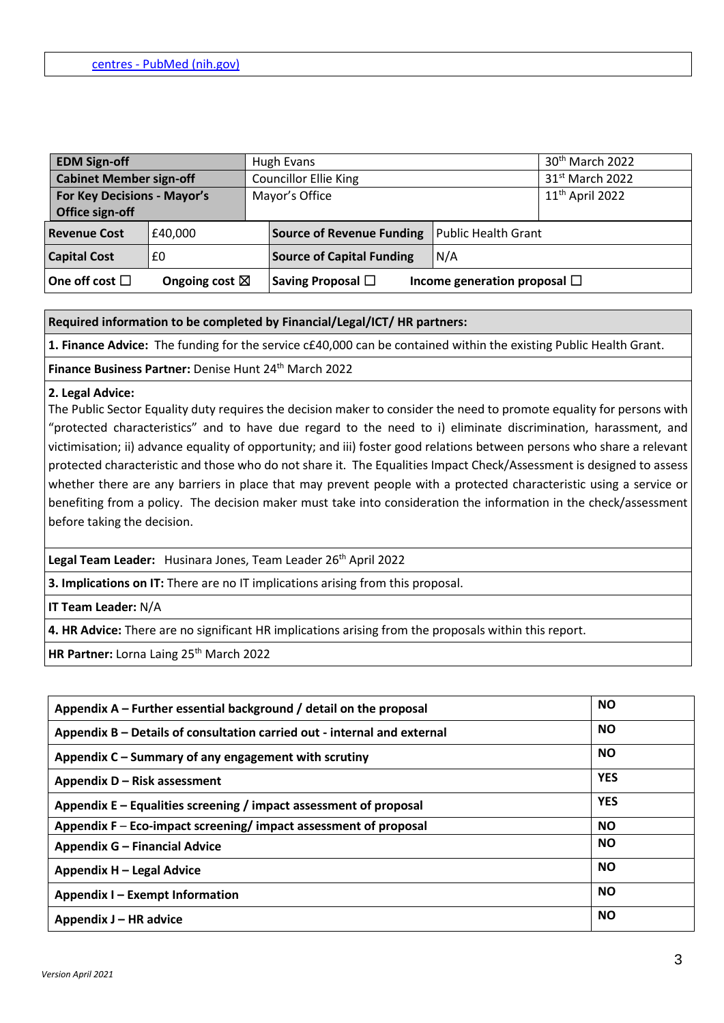| <b>EDM Sign-off</b><br><b>Cabinet Member sign-off</b> |                                                | Hugh Evans                   |                |                                  | 30 <sup>th</sup> March 2022       |  |
|-------------------------------------------------------|------------------------------------------------|------------------------------|----------------|----------------------------------|-----------------------------------|--|
|                                                       |                                                | <b>Councillor Ellie King</b> |                |                                  | 31 <sup>st</sup> March 2022       |  |
|                                                       | For Key Decisions - Mayor's<br>Office sign-off |                              | Mayor's Office |                                  | $11th$ April 2022                 |  |
|                                                       | <b>Revenue Cost</b>                            | £40,000                      |                | <b>Source of Revenue Funding</b> | <b>Public Health Grant</b>        |  |
|                                                       | <b>Capital Cost</b>                            | £0                           |                | <b>Source of Capital Funding</b> | N/A                               |  |
|                                                       | One off cost $\Box$                            | Ongoing cost $\boxtimes$     |                | Saving Proposal $\Box$           | Income generation proposal $\Box$ |  |

## **Required information to be completed by Financial/Legal/ICT/ HR partners:**

**1. Finance Advice:** The funding for the service c£40,000 can be contained within the existing Public Health Grant.

Finance Business Partner: Denise Hunt 24<sup>th</sup> March 2022

#### **2. Legal Advice:**

The Public Sector Equality duty requires the decision maker to consider the need to promote equality for persons with "protected characteristics" and to have due regard to the need to i) eliminate discrimination, harassment, and victimisation; ii) advance equality of opportunity; and iii) foster good relations between persons who share a relevant protected characteristic and those who do not share it. The Equalities Impact Check/Assessment is designed to assess whether there are any barriers in place that may prevent people with a protected characteristic using a service or benefiting from a policy. The decision maker must take into consideration the information in the check/assessment before taking the decision.

Legal Team Leader: Husinara Jones, Team Leader 26<sup>th</sup> April 2022

**3. Implications on IT:** There are no IT implications arising from this proposal.

**IT Team Leader:** N/A

**4. HR Advice:** There are no significant HR implications arising from the proposals within this report.

**HR Partner: Lorna Laing 25<sup>th</sup> March 2022** 

| Appendix $A$ – Further essential background / detail on the proposal     | <b>NO</b>  |
|--------------------------------------------------------------------------|------------|
| Appendix B – Details of consultation carried out - internal and external | <b>NO</b>  |
| Appendix C – Summary of any engagement with scrutiny                     | <b>NO</b>  |
| Appendix D - Risk assessment                                             | <b>YES</b> |
| Appendix $E -$ Equalities screening / impact assessment of proposal      | <b>YES</b> |
| Appendix F – Eco-impact screening/impact assessment of proposal          | <b>NO</b>  |
| Appendix G - Financial Advice                                            | <b>NO</b>  |
| Appendix H - Legal Advice                                                | <b>NO</b>  |
| Appendix I – Exempt Information                                          | <b>NO</b>  |
| Appendix J – HR advice                                                   | <b>NO</b>  |